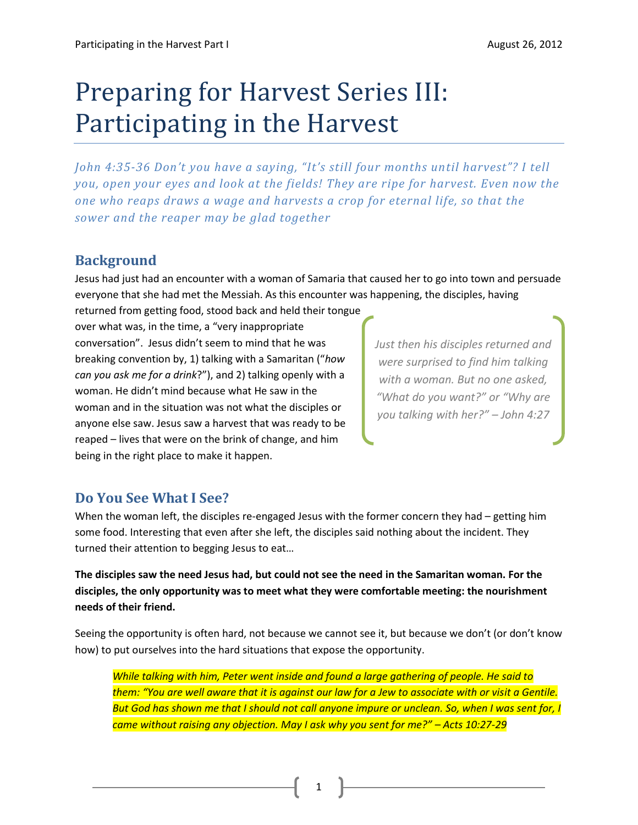# Preparing for Harvest Series III: Participating in the Harvest

*John 4:35-36 Don't you have a saying, "It's still four months until harvest"? I tell you, open your eyes and look at the fields! They are ripe for harvest. Even now the one who reaps draws a wage and harvests a crop for eternal life, so that the sower and the reaper may be glad together*

### **Background**

Jesus had just had an encounter with a woman of Samaria that caused her to go into town and persuade everyone that she had met the Messiah. As this encounter was happening, the disciples, having

returned from getting food, stood back and held their tongue over what was, in the time, a "very inappropriate conversation". Jesus didn't seem to mind that he was breaking convention by, 1) talking with a Samaritan ("*how can you ask me for a drink*?"), and 2) talking openly with a woman. He didn't mind because what He saw in the woman and in the situation was not what the disciples or anyone else saw. Jesus saw a harvest that was ready to be reaped – lives that were on the brink of change, and him being in the right place to make it happen.

*Just then his disciples returned and were surprised to find him talking with a woman. But no one asked, "What do you want?" or "Why are you talking with her?" – John 4:27*

## **Do You See What I See?**

When the woman left, the disciples re-engaged Jesus with the former concern they had – getting him some food. Interesting that even after she left, the disciples said nothing about the incident. They turned their attention to begging Jesus to eat…

**The disciples saw the need Jesus had, but could not see the need in the Samaritan woman. For the disciples, the only opportunity was to meet what they were comfortable meeting: the nourishment needs of their friend.** 

Seeing the opportunity is often hard, not because we cannot see it, but because we don't (or don't know how) to put ourselves into the hard situations that expose the opportunity.

*While talking with him, Peter went inside and found a large gathering of people. He said to them: "You are well aware that it is against our law for a Jew to associate with or visit a Gentile. But God has shown me that I should not call anyone impure or unclean. So, when I was sent for, I came without raising any objection. May I ask why you sent for me?" – Acts 10:27-29*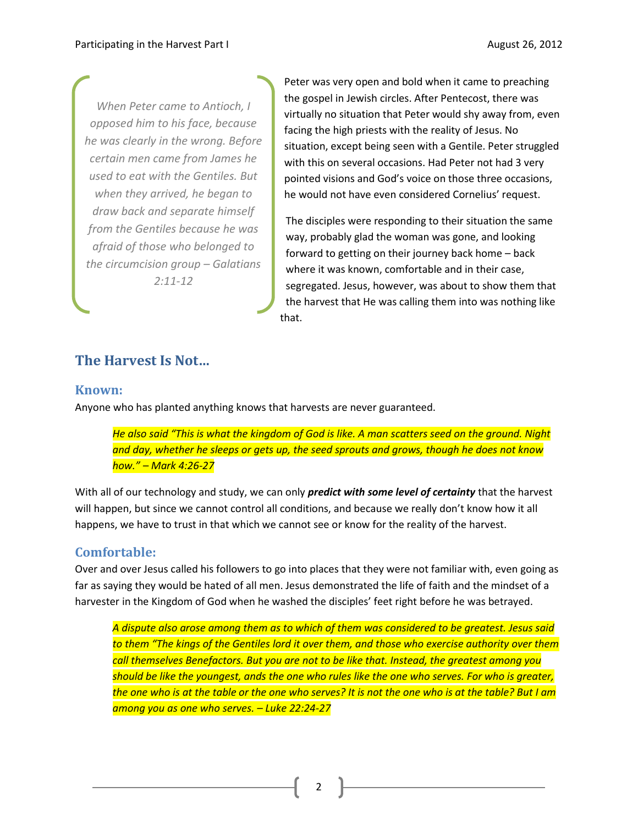*When Peter came to Antioch, I opposed him to his face, because he was clearly in the wrong. Before certain men came from James he used to eat with the Gentiles. But when they arrived, he began to draw back and separate himself from the Gentiles because he was afraid of those who belonged to the circumcision group – Galatians 2:11-12*

Peter was very open and bold when it came to preaching the gospel in Jewish circles. After Pentecost, there was virtually no situation that Peter would shy away from, even facing the high priests with the reality of Jesus. No situation, except being seen with a Gentile. Peter struggled with this on several occasions. Had Peter not had 3 very pointed visions and God's voice on those three occasions, he would not have even considered Cornelius' request.

The disciples were responding to their situation the same way, probably glad the woman was gone, and looking forward to getting on their journey back home – back where it was known, comfortable and in their case, segregated. Jesus, however, was about to show them that the harvest that He was calling them into was nothing like that.

## **The Harvest Is Not…**

#### **Known:**

Anyone who has planted anything knows that harvests are never guaranteed.

*He also said "This is what the kingdom of God is like. A man scatters seed on the ground. Night and day, whether he sleeps or gets up, the seed sprouts and grows, though he does not know how." – Mark 4:26-27*

With all of our technology and study, we can only *predict with some level of certainty* that the harvest will happen, but since we cannot control all conditions, and because we really don't know how it all happens, we have to trust in that which we cannot see or know for the reality of the harvest.

#### **Comfortable:**

Over and over Jesus called his followers to go into places that they were not familiar with, even going as far as saying they would be hated of all men. Jesus demonstrated the life of faith and the mindset of a harvester in the Kingdom of God when he washed the disciples' feet right before he was betrayed.

*A dispute also arose among them as to which of them was considered to be greatest. Jesus said to them "The kings of the Gentiles lord it over them, and those who exercise authority over them call themselves Benefactors. But you are not to be like that. Instead, the greatest among you should be like the youngest, ands the one who rules like the one who serves. For who is greater, the one who is at the table or the one who serves? It is not the one who is at the table? But I am among you as one who serves. – Luke 22:24-27*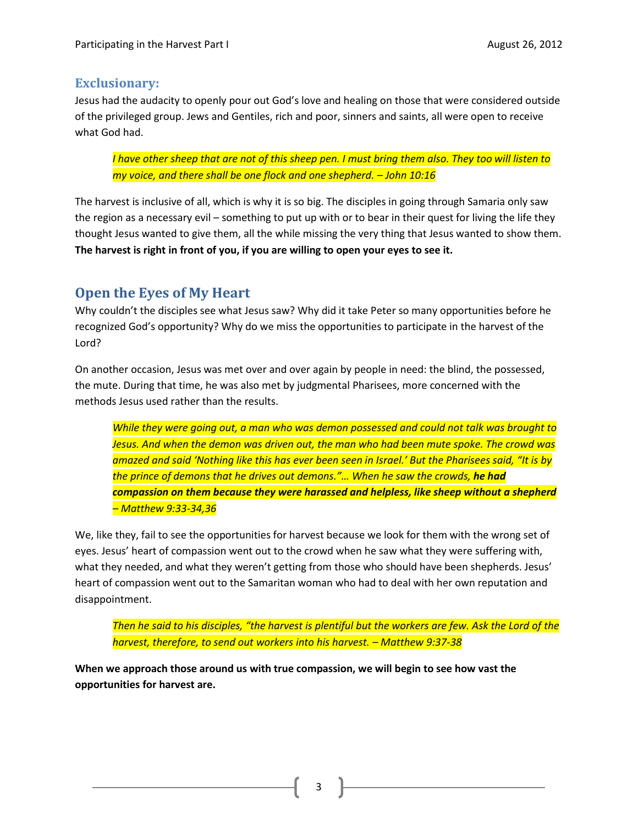#### **Exclusionary:**

Jesus had the audacity to openly pour out God's love and healing on those that were considered outside of the privileged group. Jews and Gentiles, rich and poor, sinners and saints, all were open to receive what God had.

*I have other sheep that are not of this sheep pen. I must bring them also. They too will listen to my voice, and there shall be one flock and one shepherd. – John 10:16* 

The harvest is inclusive of all, which is why it is so big. The disciples in going through Samaria only saw the region as a necessary evil – something to put up with or to bear in their quest for living the life they thought Jesus wanted to give them, all the while missing the very thing that Jesus wanted to show them. **The harvest is right in front of you, if you are willing to open your eyes to see it.** 

## **Open the Eyes of My Heart**

Why couldn't the disciples see what Jesus saw? Why did it take Peter so many opportunities before he recognized God's opportunity? Why do we miss the opportunities to participate in the harvest of the Lord?

On another occasion, Jesus was met over and over again by people in need: the blind, the possessed, the mute. During that time, he was also met by judgmental Pharisees, more concerned with the methods Jesus used rather than the results.

*While they were going out, a man who was demon possessed and could not talk was brought to Jesus. And when the demon was driven out, the man who had been mute spoke. The crowd was amazed and said 'Nothing like this has ever been seen in Israel.' But the Pharisees said, "It is by the prince of demons that he drives out demons."… When he saw the crowds, he had compassion on them because they were harassed and helpless, like sheep without a shepherd – Matthew 9:33-34,36*

We, like they, fail to see the opportunities for harvest because we look for them with the wrong set of eyes. Jesus' heart of compassion went out to the crowd when he saw what they were suffering with, what they needed, and what they weren't getting from those who should have been shepherds. Jesus' heart of compassion went out to the Samaritan woman who had to deal with her own reputation and disappointment.

*Then he said to his disciples, "the harvest is plentiful but the workers are few. Ask the Lord of the harvest, therefore, to send out workers into his harvest. – Matthew 9:37-38*

**When we approach those around us with true compassion, we will begin to see how vast the opportunities for harvest are.** 

3